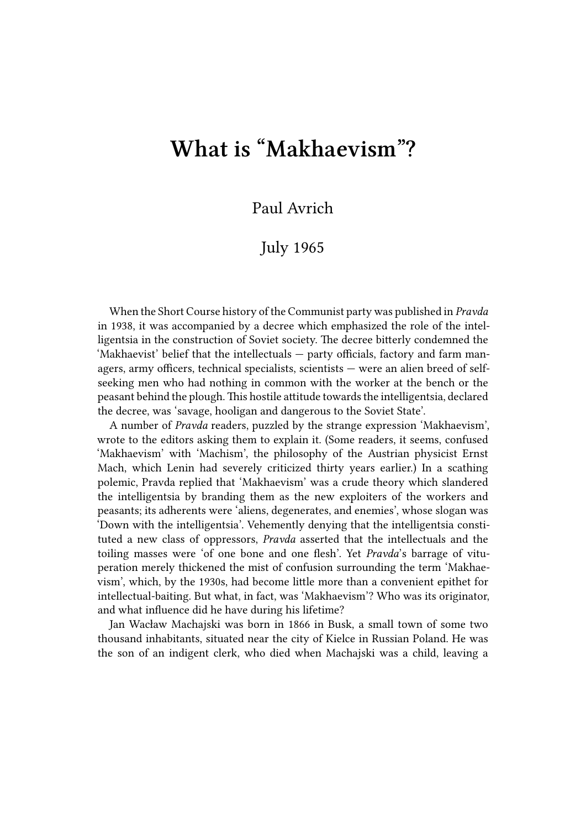## **What is "Makhaevism"?**

## Paul Avrich

## July 1965

When the Short Course history of the Communist party was published in *Pravda* in 1938, it was accompanied by a decree which emphasized the role of the intelligentsia in the construction of Soviet society. The decree bitterly condemned the 'Makhaevist' belief that the intellectuals — party officials, factory and farm managers, army officers, technical specialists, scientists — were an alien breed of selfseeking men who had nothing in common with the worker at the bench or the peasant behind the plough. This hostile attitude towards the intelligentsia, declared the decree, was 'savage, hooligan and dangerous to the Soviet State'.

A number of *Pravda* readers, puzzled by the strange expression 'Makhaevism', wrote to the editors asking them to explain it. (Some readers, it seems, confused 'Makhaevism' with 'Machism', the philosophy of the Austrian physicist Ernst Mach, which Lenin had severely criticized thirty years earlier.) In a scathing polemic, Pravda replied that 'Makhaevism' was a crude theory which slandered the intelligentsia by branding them as the new exploiters of the workers and peasants; its adherents were 'aliens, degenerates, and enemies', whose slogan was 'Down with the intelligentsia'. Vehemently denying that the intelligentsia constituted a new class of oppressors, *Pravda* asserted that the intellectuals and the toiling masses were 'of one bone and one flesh'. Yet *Pravda*'s barrage of vituperation merely thickened the mist of confusion surrounding the term 'Makhaevism', which, by the 1930s, had become little more than a convenient epithet for intellectual-baiting. But what, in fact, was 'Makhaevism'? Who was its originator, and what influence did he have during his lifetime?

Jan Wacław Machajski was born in 1866 in Busk, a small town of some two thousand inhabitants, situated near the city of Kielce in Russian Poland. He was the son of an indigent clerk, who died when Machajski was a child, leaving a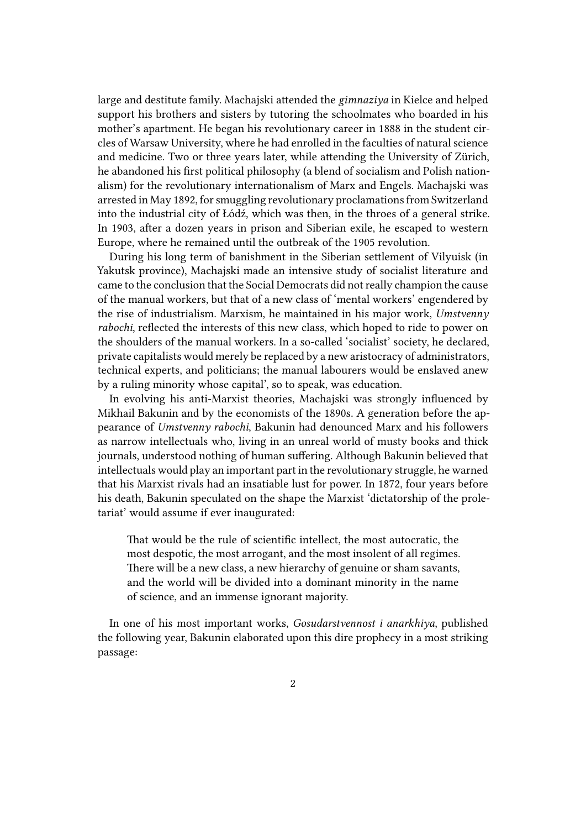large and destitute family. Machajski attended the *gimnaziya* in Kielce and helped support his brothers and sisters by tutoring the schoolmates who boarded in his mother's apartment. He began his revolutionary career in 1888 in the student circles of Warsaw University, where he had enrolled in the faculties of natural science and medicine. Two or three years later, while attending the University of Zürich, he abandoned his first political philosophy (a blend of socialism and Polish nationalism) for the revolutionary internationalism of Marx and Engels. Machajski was arrested in May 1892, for smuggling revolutionary proclamations from Switzerland into the industrial city of Łódź, which was then, in the throes of a general strike. In 1903, after a dozen years in prison and Siberian exile, he escaped to western Europe, where he remained until the outbreak of the 1905 revolution.

During his long term of banishment in the Siberian settlement of Vilyuisk (in Yakutsk province), Machajski made an intensive study of socialist literature and came to the conclusion that the Social Democrats did not really champion the cause of the manual workers, but that of a new class of 'mental workers' engendered by the rise of industrialism. Marxism, he maintained in his major work, *Umstvenny rabochi*, reflected the interests of this new class, which hoped to ride to power on the shoulders of the manual workers. In a so-called 'socialist' society, he declared, private capitalists would merely be replaced by a new aristocracy of administrators, technical experts, and politicians; the manual labourers would be enslaved anew by a ruling minority whose capital', so to speak, was education.

In evolving his anti-Marxist theories, Machajski was strongly influenced by Mikhail Bakunin and by the economists of the 1890s. A generation before the appearance of *Umstvenny rabochi*, Bakunin had denounced Marx and his followers as narrow intellectuals who, living in an unreal world of musty books and thick journals, understood nothing of human suffering. Although Bakunin believed that intellectuals would play an important part in the revolutionary struggle, he warned that his Marxist rivals had an insatiable lust for power. In 1872, four years before his death, Bakunin speculated on the shape the Marxist 'dictatorship of the proletariat' would assume if ever inaugurated:

That would be the rule of scientific intellect, the most autocratic, the most despotic, the most arrogant, and the most insolent of all regimes. There will be a new class, a new hierarchy of genuine or sham savants, and the world will be divided into a dominant minority in the name of science, and an immense ignorant majority.

In one of his most important works, *Gosudarstvennost i anarkhiya*, published the following year, Bakunin elaborated upon this dire prophecy in a most striking passage: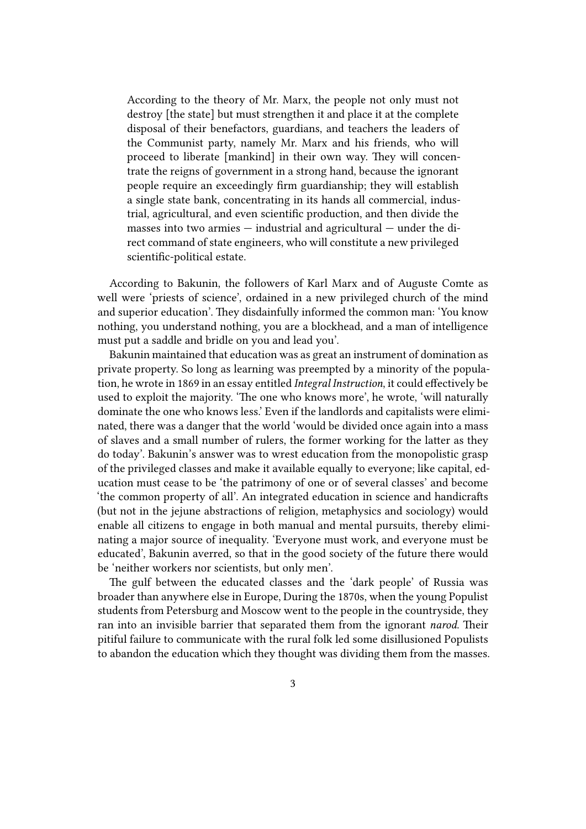According to the theory of Mr. Marx, the people not only must not destroy [the state] but must strengthen it and place it at the complete disposal of their benefactors, guardians, and teachers the leaders of the Communist party, namely Mr. Marx and his friends, who will proceed to liberate [mankind] in their own way. They will concentrate the reigns of government in a strong hand, because the ignorant people require an exceedingly firm guardianship; they will establish a single state bank, concentrating in its hands all commercial, industrial, agricultural, and even scientific production, and then divide the masses into two armies — industrial and agricultural — under the direct command of state engineers, who will constitute a new privileged scientific-political estate.

According to Bakunin, the followers of Karl Marx and of Auguste Comte as well were 'priests of science', ordained in a new privileged church of the mind and superior education'. They disdainfully informed the common man: 'You know nothing, you understand nothing, you are a blockhead, and a man of intelligence must put a saddle and bridle on you and lead you'.

Bakunin maintained that education was as great an instrument of domination as private property. So long as learning was preempted by a minority of the population, he wrote in 1869 in an essay entitled *Integral Instruction*, it could effectively be used to exploit the majority. 'The one who knows more', he wrote, 'will naturally dominate the one who knows less.' Even if the landlords and capitalists were eliminated, there was a danger that the world 'would be divided once again into a mass of slaves and a small number of rulers, the former working for the latter as they do today'. Bakunin's answer was to wrest education from the monopolistic grasp of the privileged classes and make it available equally to everyone; like capital, education must cease to be 'the patrimony of one or of several classes' and become 'the common property of all'. An integrated education in science and handicrafts (but not in the jejune abstractions of religion, metaphysics and sociology) would enable all citizens to engage in both manual and mental pursuits, thereby eliminating a major source of inequality. 'Everyone must work, and everyone must be educated', Bakunin averred, so that in the good society of the future there would be 'neither workers nor scientists, but only men'.

The gulf between the educated classes and the 'dark people' of Russia was broader than anywhere else in Europe, During the 1870s, when the young Populist students from Petersburg and Moscow went to the people in the countryside, they ran into an invisible barrier that separated them from the ignorant *narod*. Their pitiful failure to communicate with the rural folk led some disillusioned Populists to abandon the education which they thought was dividing them from the masses.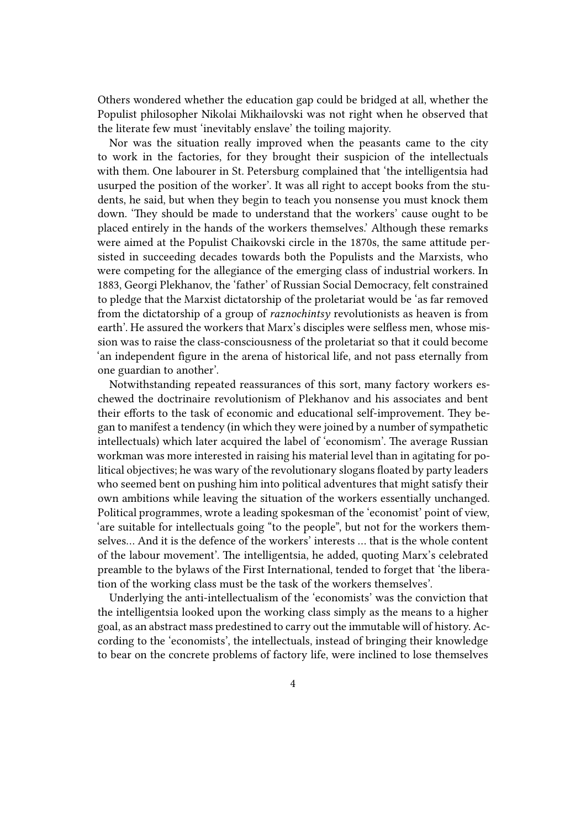Others wondered whether the education gap could be bridged at all, whether the Populist philosopher Nikolai Mikhailovski was not right when he observed that the literate few must 'inevitably enslave' the toiling majority.

Nor was the situation really improved when the peasants came to the city to work in the factories, for they brought their suspicion of the intellectuals with them. One labourer in St. Petersburg complained that 'the intelligentsia had usurped the position of the worker'. It was all right to accept books from the students, he said, but when they begin to teach you nonsense you must knock them down. 'They should be made to understand that the workers' cause ought to be placed entirely in the hands of the workers themselves.' Although these remarks were aimed at the Populist Chaikovski circle in the 1870s, the same attitude persisted in succeeding decades towards both the Populists and the Marxists, who were competing for the allegiance of the emerging class of industrial workers. In 1883, Georgi Plekhanov, the 'father' of Russian Social Democracy, felt constrained to pledge that the Marxist dictatorship of the proletariat would be 'as far removed from the dictatorship of a group of *raznochintsy* revolutionists as heaven is from earth'. He assured the workers that Marx's disciples were selfless men, whose mission was to raise the class-consciousness of the proletariat so that it could become 'an independent figure in the arena of historical life, and not pass eternally from one guardian to another'.

Notwithstanding repeated reassurances of this sort, many factory workers eschewed the doctrinaire revolutionism of Plekhanov and his associates and bent their efforts to the task of economic and educational self-improvement. They began to manifest a tendency (in which they were joined by a number of sympathetic intellectuals) which later acquired the label of 'economism'. The average Russian workman was more interested in raising his material level than in agitating for political objectives; he was wary of the revolutionary slogans floated by party leaders who seemed bent on pushing him into political adventures that might satisfy their own ambitions while leaving the situation of the workers essentially unchanged. Political programmes, wrote a leading spokesman of the 'economist' point of view, 'are suitable for intellectuals going "to the people", but not for the workers themselves… And it is the defence of the workers' interests … that is the whole content of the labour movement'. The intelligentsia, he added, quoting Marx's celebrated preamble to the bylaws of the First International, tended to forget that 'the liberation of the working class must be the task of the workers themselves'.

Underlying the anti-intellectualism of the 'economists' was the conviction that the intelligentsia looked upon the working class simply as the means to a higher goal, as an abstract mass predestined to carry out the immutable will of history. According to the 'economists', the intellectuals, instead of bringing their knowledge to bear on the concrete problems of factory life, were inclined to lose themselves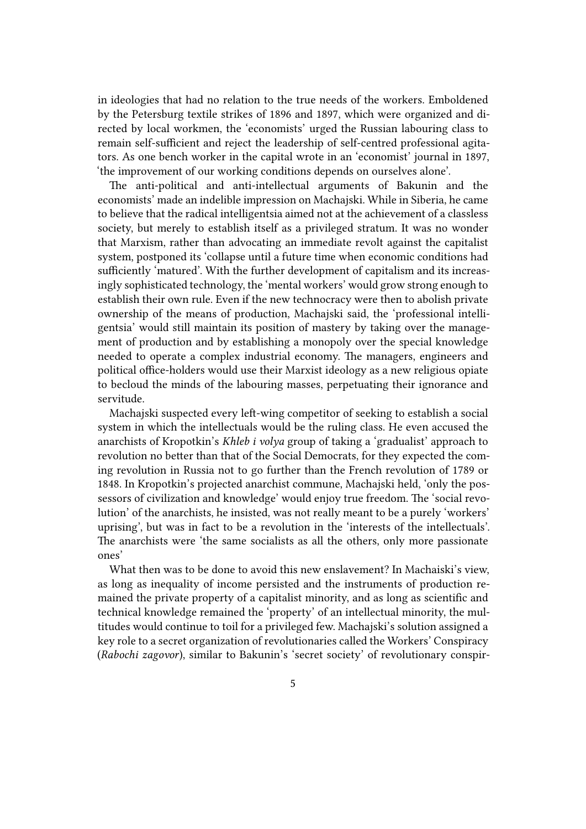in ideologies that had no relation to the true needs of the workers. Emboldened by the Petersburg textile strikes of 1896 and 1897, which were organized and directed by local workmen, the 'economists' urged the Russian labouring class to remain self-sufficient and reject the leadership of self-centred professional agitators. As one bench worker in the capital wrote in an 'economist' journal in 1897, 'the improvement of our working conditions depends on ourselves alone'.

The anti-political and anti-intellectual arguments of Bakunin and the economists' made an indelible impression on Machajski. While in Siberia, he came to believe that the radical intelligentsia aimed not at the achievement of a classless society, but merely to establish itself as a privileged stratum. It was no wonder that Marxism, rather than advocating an immediate revolt against the capitalist system, postponed its 'collapse until a future time when economic conditions had sufficiently 'matured'. With the further development of capitalism and its increasingly sophisticated technology, the 'mental workers' would grow strong enough to establish their own rule. Even if the new technocracy were then to abolish private ownership of the means of production, Machajski said, the 'professional intelligentsia' would still maintain its position of mastery by taking over the management of production and by establishing a monopoly over the special knowledge needed to operate a complex industrial economy. The managers, engineers and political office-holders would use their Marxist ideology as a new religious opiate to becloud the minds of the labouring masses, perpetuating their ignorance and servitude.

Machajski suspected every left-wing competitor of seeking to establish a social system in which the intellectuals would be the ruling class. He even accused the anarchists of Kropotkin's *Khleb i volya* group of taking a 'gradualist' approach to revolution no better than that of the Social Democrats, for they expected the coming revolution in Russia not to go further than the French revolution of 1789 or 1848. In Kropotkin's projected anarchist commune, Machajski held, 'only the possessors of civilization and knowledge' would enjoy true freedom. The 'social revolution' of the anarchists, he insisted, was not really meant to be a purely 'workers' uprising', but was in fact to be a revolution in the 'interests of the intellectuals'. The anarchists were 'the same socialists as all the others, only more passionate ones'

What then was to be done to avoid this new enslavement? In Machaiski's view, as long as inequality of income persisted and the instruments of production remained the private property of a capitalist minority, and as long as scientific and technical knowledge remained the 'property' of an intellectual minority, the multitudes would continue to toil for a privileged few. Machajski's solution assigned a key role to a secret organization of revolutionaries called the Workers' Conspiracy (*Rabochi zagovor*), similar to Bakunin's 'secret society' of revolutionary conspir-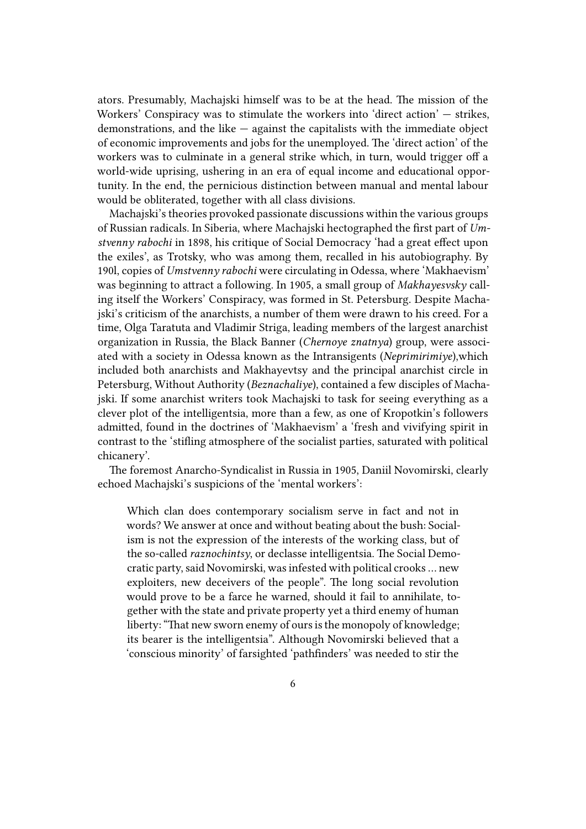ators. Presumably, Machajski himself was to be at the head. The mission of the Workers' Conspiracy was to stimulate the workers into 'direct action' — strikes, demonstrations, and the like  $-$  against the capitalists with the immediate object of economic improvements and jobs for the unemployed. The 'direct action' of the workers was to culminate in a general strike which, in turn, would trigger off a world-wide uprising, ushering in an era of equal income and educational opportunity. In the end, the pernicious distinction between manual and mental labour would be obliterated, together with all class divisions.

Machajski's theories provoked passionate discussions within the various groups of Russian radicals. In Siberia, where Machajski hectographed the first part of *Umstvenny rabochi* in 1898, his critique of Social Democracy 'had a great effect upon the exiles', as Trotsky, who was among them, recalled in his autobiography. By 190l, copies of *Umstvenny rabochi* were circulating in Odessa, where 'Makhaevism' was beginning to attract a following. In 1905, a small group of *Makhayesvsky* calling itself the Workers' Conspiracy, was formed in St. Petersburg. Despite Machajski's criticism of the anarchists, a number of them were drawn to his creed. For a time, Olga Taratuta and Vladimir Striga, leading members of the largest anarchist organization in Russia, the Black Banner (*Chernoye znatnya*) group, were associated with a society in Odessa known as the Intransigents (*Neprimirimiye*),which included both anarchists and Makhayevtsy and the principal anarchist circle in Petersburg, Without Authority (*Beznachaliye*), contained a few disciples of Machajski. If some anarchist writers took Machajski to task for seeing everything as a clever plot of the intelligentsia, more than a few, as one of Kropotkin's followers admitted, found in the doctrines of 'Makhaevism' a 'fresh and vivifying spirit in contrast to the 'stifling atmosphere of the socialist parties, saturated with political chicanery'.

The foremost Anarcho-Syndicalist in Russia in 1905, Daniil Novomirski, clearly echoed Machajski's suspicions of the 'mental workers':

Which clan does contemporary socialism serve in fact and not in words? We answer at once and without beating about the bush: Socialism is not the expression of the interests of the working class, but of the so-called *raznochintsy*, or declasse intelligentsia. The Social Democratic party, said Novomirski, was infested with political crooks … new exploiters, new deceivers of the people". The long social revolution would prove to be a farce he warned, should it fail to annihilate, together with the state and private property yet a third enemy of human liberty: "That new sworn enemy of ours is the monopoly of knowledge; its bearer is the intelligentsia". Although Novomirski believed that a 'conscious minority' of farsighted 'pathfinders' was needed to stir the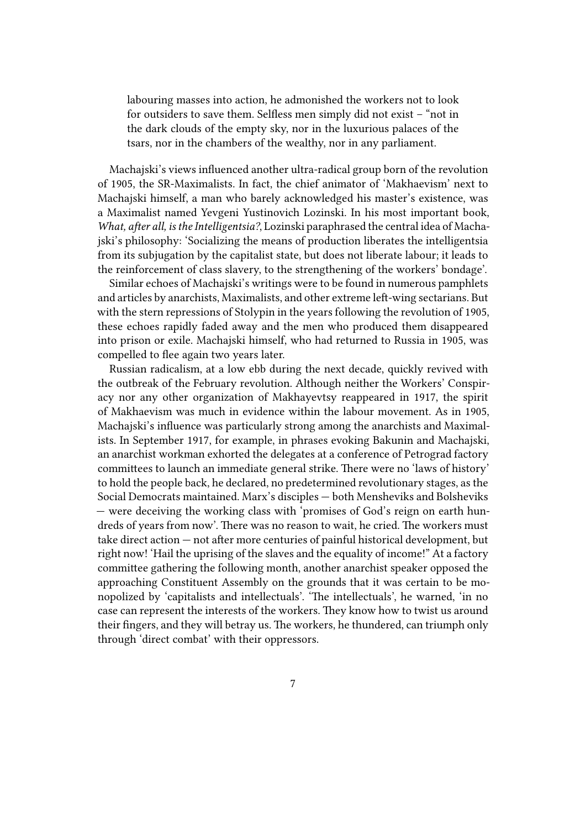labouring masses into action, he admonished the workers not to look for outsiders to save them. Selfless men simply did not exist – "not in the dark clouds of the empty sky, nor in the luxurious palaces of the tsars, nor in the chambers of the wealthy, nor in any parliament.

Machajski's views influenced another ultra-radical group born of the revolution of 1905, the SR-Maximalists. In fact, the chief animator of 'Makhaevism' next to Machajski himself, a man who barely acknowledged his master's existence, was a Maximalist named Yevgeni Yustinovich Lozinski. In his most important book, *What, after all, is the Intelligentsia?*, Lozinski paraphrased the central idea of Machajski's philosophy: 'Socializing the means of production liberates the intelligentsia from its subjugation by the capitalist state, but does not liberate labour; it leads to the reinforcement of class slavery, to the strengthening of the workers' bondage'.

Similar echoes of Machajski's writings were to be found in numerous pamphlets and articles by anarchists, Maximalists, and other extreme left-wing sectarians. But with the stern repressions of Stolypin in the years following the revolution of 1905, these echoes rapidly faded away and the men who produced them disappeared into prison or exile. Machajski himself, who had returned to Russia in 1905, was compelled to flee again two years later.

Russian radicalism, at a low ebb during the next decade, quickly revived with the outbreak of the February revolution. Although neither the Workers' Conspiracy nor any other organization of Makhayevtsy reappeared in 1917, the spirit of Makhaevism was much in evidence within the labour movement. As in 1905, Machajski's influence was particularly strong among the anarchists and Maximalists. In September 1917, for example, in phrases evoking Bakunin and Machajski, an anarchist workman exhorted the delegates at a conference of Petrograd factory committees to launch an immediate general strike. There were no 'laws of history' to hold the people back, he declared, no predetermined revolutionary stages, as the Social Democrats maintained. Marx's disciples — both Mensheviks and Bolsheviks — were deceiving the working class with 'promises of God's reign on earth hundreds of years from now'. There was no reason to wait, he cried. The workers must take direct action — not after more centuries of painful historical development, but right now! 'Hail the uprising of the slaves and the equality of income!" At a factory committee gathering the following month, another anarchist speaker opposed the approaching Constituent Assembly on the grounds that it was certain to be monopolized by 'capitalists and intellectuals'. 'The intellectuals', he warned, 'in no case can represent the interests of the workers. They know how to twist us around their fingers, and they will betray us. The workers, he thundered, can triumph only through 'direct combat' with their oppressors.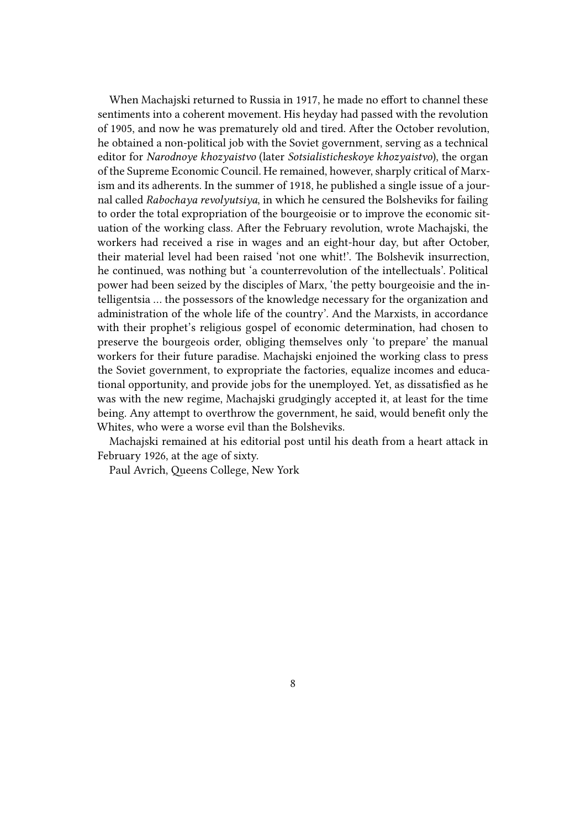When Machajski returned to Russia in 1917, he made no effort to channel these sentiments into a coherent movement. His heyday had passed with the revolution of 1905, and now he was prematurely old and tired. After the October revolution, he obtained a non-political job with the Soviet government, serving as a technical editor for *Narodnoye khozyaistvo* (later *Sotsialisticheskoye khozyaistvo*), the organ of the Supreme Economic Council. He remained, however, sharply critical of Marxism and its adherents. In the summer of 1918, he published a single issue of a journal called *Rabochaya revolyutsiya*, in which he censured the Bolsheviks for failing to order the total expropriation of the bourgeoisie or to improve the economic situation of the working class. After the February revolution, wrote Machajski, the workers had received a rise in wages and an eight-hour day, but after October, their material level had been raised 'not one whit!'. The Bolshevik insurrection, he continued, was nothing but 'a counterrevolution of the intellectuals'. Political power had been seized by the disciples of Marx, 'the petty bourgeoisie and the intelligentsia … the possessors of the knowledge necessary for the organization and administration of the whole life of the country'. And the Marxists, in accordance with their prophet's religious gospel of economic determination, had chosen to preserve the bourgeois order, obliging themselves only 'to prepare' the manual workers for their future paradise. Machajski enjoined the working class to press the Soviet government, to expropriate the factories, equalize incomes and educational opportunity, and provide jobs for the unemployed. Yet, as dissatisfied as he was with the new regime, Machajski grudgingly accepted it, at least for the time being. Any attempt to overthrow the government, he said, would benefit only the Whites, who were a worse evil than the Bolsheviks.

Machajski remained at his editorial post until his death from a heart attack in February 1926, at the age of sixty.

Paul Avrich, Queens College, New York